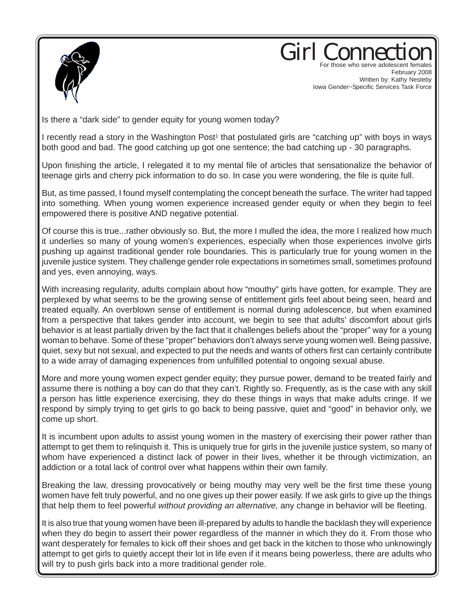

Girl Conne For those who serve adolescent females

February 2008 Written by: Kathy Nesteby Iowa Gender~Specific Services Task Force

Is there a "dark side" to gender equity for young women today?

I recently read a story in the Washington Post<sup>1</sup> that postulated girls are "catching up" with boys in ways both good and bad. The good catching up got one sentence; the bad catching up - 30 paragraphs.

Upon finishing the article, I relegated it to my mental file of articles that sensationalize the behavior of teenage girls and cherry pick information to do so. In case you were wondering, the file is quite full.

But, as time passed, I found myself contemplating the concept beneath the surface. The writer had tapped into something. When young women experience increased gender equity or when they begin to feel empowered there is positive AND negative potential.

Of course this is true...rather obviously so. But, the more I mulled the idea, the more I realized how much it underlies so many of young women's experiences, especially when those experiences involve girls pushing up against traditional gender role boundaries. This is particularly true for young women in the juvenile justice system. They challenge gender role expectations in sometimes small, sometimes profound and yes, even annoying, ways.

With increasing regularity, adults complain about how "mouthy" girls have gotten, for example. They are perplexed by what seems to be the growing sense of entitlement girls feel about being seen, heard and treated equally. An overblown sense of entitlement is normal during adolescence, but when examined from a perspective that takes gender into account, we begin to see that adults' discomfort about girls behavior is at least partially driven by the fact that it challenges beliefs about the "proper" way for a young woman to behave. Some of these "proper" behaviors don't always serve young women well. Being passive, quiet, sexy but not sexual, and expected to put the needs and wants of others first can certainly contribute to a wide array of damaging experiences from unfulfilled potential to ongoing sexual abuse.

More and more young women expect gender equity; they pursue power, demand to be treated fairly and assume there is nothing a boy can do that they can't. Rightly so. Frequently, as is the case with any skill a person has little experience exercising, they do these things in ways that make adults cringe. If we respond by simply trying to get girls to go back to being passive, quiet and "good" in behavior only, we come up short.

It is incumbent upon adults to assist young women in the mastery of exercising their power rather than attempt to get them to relinquish it. This is uniquely true for girls in the juvenile justice system, so many of whom have experienced a distinct lack of power in their lives, whether it be through victimization, an addiction or a total lack of control over what happens within their own family.

Breaking the law, dressing provocatively or being mouthy may very well be the first time these young women have felt truly powerful, and no one gives up their power easily. If we ask girls to give up the things that help them to feel powerful *without providing an alternative,* any change in behavior will be fleeting.

It is also true that young women have been ill-prepared by adults to handle the backlash they will experience when they do begin to assert their power regardless of the manner in which they do it. From those who want desperately for females to kick off their shoes and get back in the kitchen to those who unknowingly attempt to get girls to quietly accept their lot in life even if it means being powerless, there are adults who will try to push girls back into a more traditional gender role.